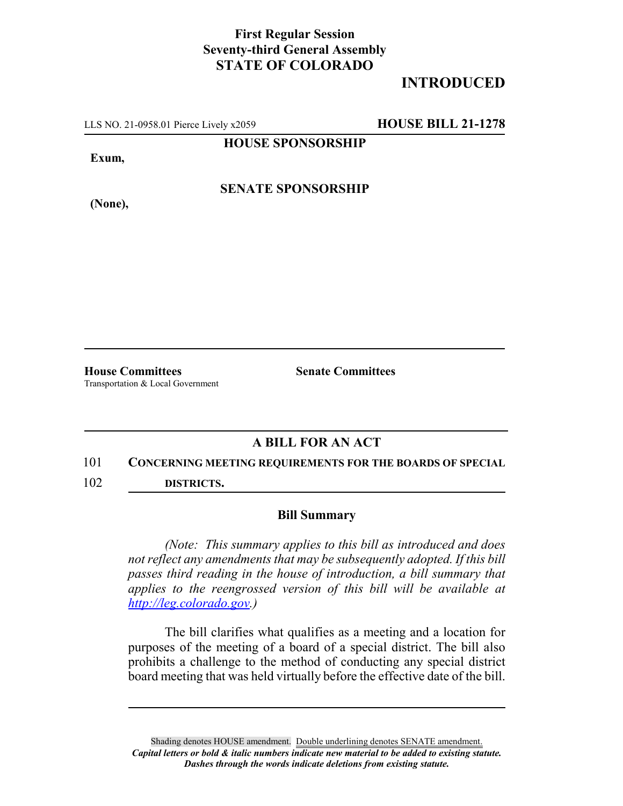## **First Regular Session Seventy-third General Assembly STATE OF COLORADO**

# **INTRODUCED**

LLS NO. 21-0958.01 Pierce Lively x2059 **HOUSE BILL 21-1278**

**HOUSE SPONSORSHIP**

**Exum,**

**(None),**

**SENATE SPONSORSHIP**

**House Committees Senate Committees** Transportation & Local Government

## **A BILL FOR AN ACT**

#### 101 **CONCERNING MEETING REQUIREMENTS FOR THE BOARDS OF SPECIAL**

102 **DISTRICTS.**

### **Bill Summary**

*(Note: This summary applies to this bill as introduced and does not reflect any amendments that may be subsequently adopted. If this bill passes third reading in the house of introduction, a bill summary that applies to the reengrossed version of this bill will be available at http://leg.colorado.gov.)*

The bill clarifies what qualifies as a meeting and a location for purposes of the meeting of a board of a special district. The bill also prohibits a challenge to the method of conducting any special district board meeting that was held virtually before the effective date of the bill.

Shading denotes HOUSE amendment. Double underlining denotes SENATE amendment. *Capital letters or bold & italic numbers indicate new material to be added to existing statute. Dashes through the words indicate deletions from existing statute.*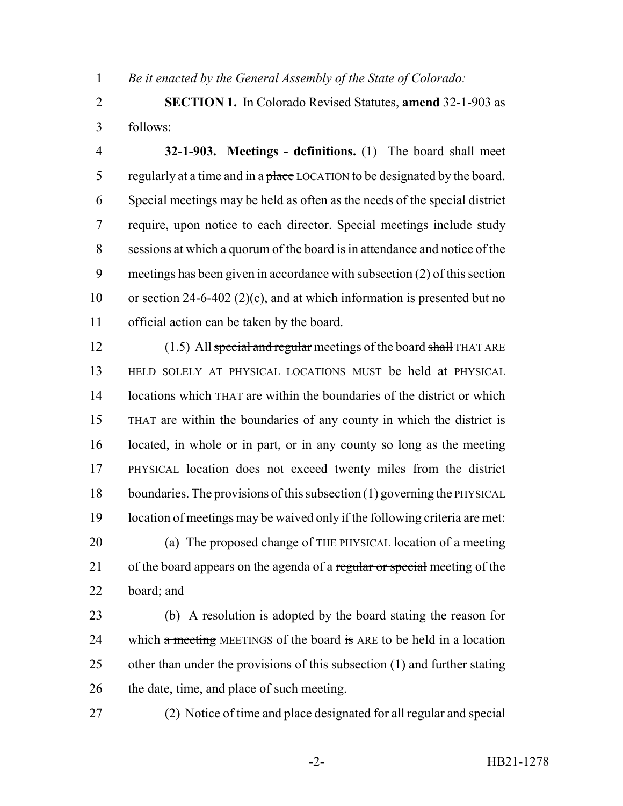*Be it enacted by the General Assembly of the State of Colorado:*

 **SECTION 1.** In Colorado Revised Statutes, **amend** 32-1-903 as follows:

 **32-1-903. Meetings - definitions.** (1) The board shall meet 5 regularly at a time and in a place LOCATION to be designated by the board. Special meetings may be held as often as the needs of the special district require, upon notice to each director. Special meetings include study sessions at which a quorum of the board is in attendance and notice of the meetings has been given in accordance with subsection (2) of this section or section 24-6-402 (2)(c), and at which information is presented but no official action can be taken by the board.

12 (1.5) All special and regular meetings of the board shall THAT ARE HELD SOLELY AT PHYSICAL LOCATIONS MUST be held at PHYSICAL 14 locations which THAT are within the boundaries of the district or which THAT are within the boundaries of any county in which the district is 16 located, in whole or in part, or in any county so long as the meeting PHYSICAL location does not exceed twenty miles from the district boundaries. The provisions of this subsection (1) governing the PHYSICAL location of meetings may be waived only if the following criteria are met: (a) The proposed change of THE PHYSICAL location of a meeting 21 of the board appears on the agenda of a regular or special meeting of the board; and

 (b) A resolution is adopted by the board stating the reason for 24 which  $\alpha$  meeting MEETINGS of the board is ARE to be held in a location other than under the provisions of this subsection (1) and further stating 26 the date, time, and place of such meeting.

27 (2) Notice of time and place designated for all regular and special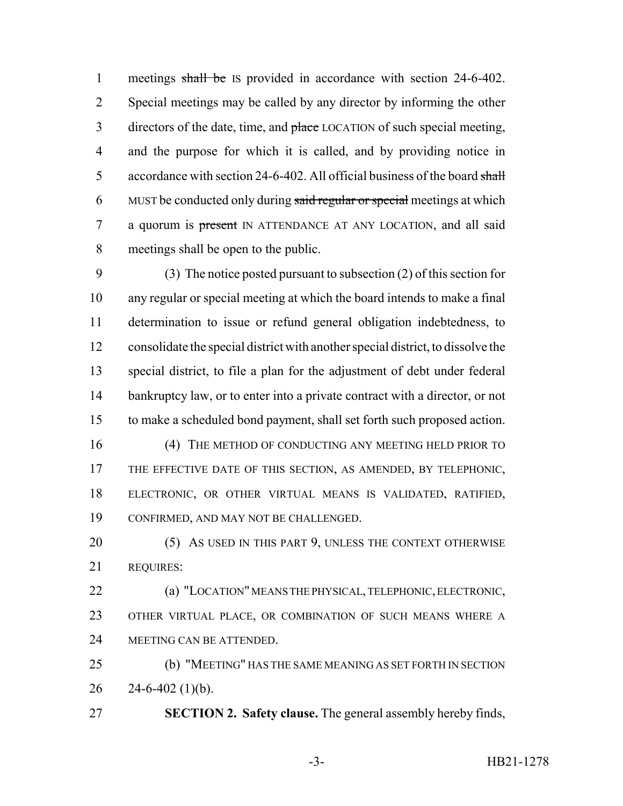1 meetings shall be IS provided in accordance with section 24-6-402. Special meetings may be called by any director by informing the other 3 directors of the date, time, and place LOCATION of such special meeting, and the purpose for which it is called, and by providing notice in 5 accordance with section 24-6-402. All official business of the board shall 6 MUST be conducted only during said regular or special meetings at which 7 a quorum is present IN ATTENDANCE AT ANY LOCATION, and all said meetings shall be open to the public.

 (3) The notice posted pursuant to subsection (2) of this section for any regular or special meeting at which the board intends to make a final determination to issue or refund general obligation indebtedness, to consolidate the special district with another special district, to dissolve the special district, to file a plan for the adjustment of debt under federal 14 bankruptcy law, or to enter into a private contract with a director, or not to make a scheduled bond payment, shall set forth such proposed action.

16 (4) THE METHOD OF CONDUCTING ANY MEETING HELD PRIOR TO THE EFFECTIVE DATE OF THIS SECTION, AS AMENDED, BY TELEPHONIC, ELECTRONIC, OR OTHER VIRTUAL MEANS IS VALIDATED, RATIFIED, CONFIRMED, AND MAY NOT BE CHALLENGED.

20 (5) AS USED IN THIS PART 9, UNLESS THE CONTEXT OTHERWISE REQUIRES:

 (a) "LOCATION" MEANS THE PHYSICAL, TELEPHONIC, ELECTRONIC, OTHER VIRTUAL PLACE, OR COMBINATION OF SUCH MEANS WHERE A MEETING CAN BE ATTENDED.

 (b) "MEETING" HAS THE SAME MEANING AS SET FORTH IN SECTION 26  $24-6-402$  (1)(b).

**SECTION 2. Safety clause.** The general assembly hereby finds,